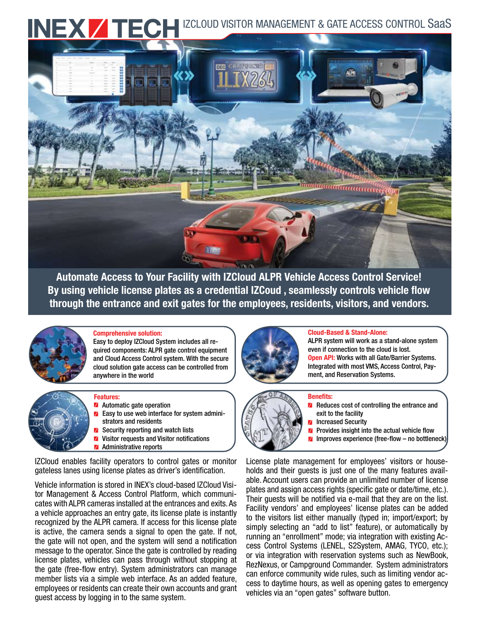



Automate Access to Your Facility with IZCloud ALPR Vehicle Access Control Service! By using vehicle license plates as a credential IZCoud , seamlessly controls vehicle flow through the entrance and exit gates for the employees, residents, visitors, and vendors.



### Comprehensive solution:

Easy to deploy IZCloud System includes all required components: ALPR gate control equipment and Cloud Access Control system. With the secure cloud solution gate access can be controlled from anywhere in the world

## Features:

- Automatic gate operation
- Easy to use web interface for system admini strators and residents
- **Z** Security reporting and watch lists
- **V** Visitor requests and Visitor notifications
- **Administrative reports**

IZCloud enables facility operators to control gates or monitor gateless lanes using license plates as driver's identification.

Vehicle information is stored in INEX's cloud-based IZCloud Visitor Management & Access Control Platform, which communicates with ALPR cameras installed at the entrances and exits. As a vehicle approaches an entry gate, its license plate is instantly recognized by the ALPR camera. If access for this license plate is active, the camera sends a signal to open the gate. If not, the gate will not open, and the system will send a notification message to the operator. Since the gate is controlled by reading license plates, vehicles can pass through without stopping at the gate (free-flow entry). System administrators can manage member lists via a simple web interface. As an added feature, employees or residents can create their own accounts and grant guest access by logging in to the same system.



#### Cloud-Based & Stand-Alone:

ALPR system will work as a stand-alone system even if connection to the cloud is lost. **Open API:** Works with all Gate/Barrier Systems. Integrated with most VMS, Access Control, Payment, and Reservation Systems.

### Benefits:



- **Z** Reduces cost of controlling the entrance and exit to the facility
- **Z** Increased Security
- **Z** Provides insight into the actual vehicle flow
- $\blacksquare$  Improves experience (free-flow no bottleneck)

License plate management for employees' visitors or households and their guests is just one of the many features available. Account users can provide an unlimited number of license plates and assign access rights (specific gate or date/time, etc.). Their guests will be notified via e-mail that they are on the list. Facility vendors' and employees' license plates can be added to the visitors list either manually (typed in; import/export; by simply selecting an "add to list" feature), or automatically by running an "enrollment" mode; via integration with existing Access Control Systems (LENEL, S2System, AMAG, TYCO, etc.); or via integration with reservation systems such as NewBook, RezNexus, or Campground Commander. System administrators can enforce community wide rules, such as limiting vendor access to daytime hours, as well as opening gates to emergency vehicles via an "open gates" software button.